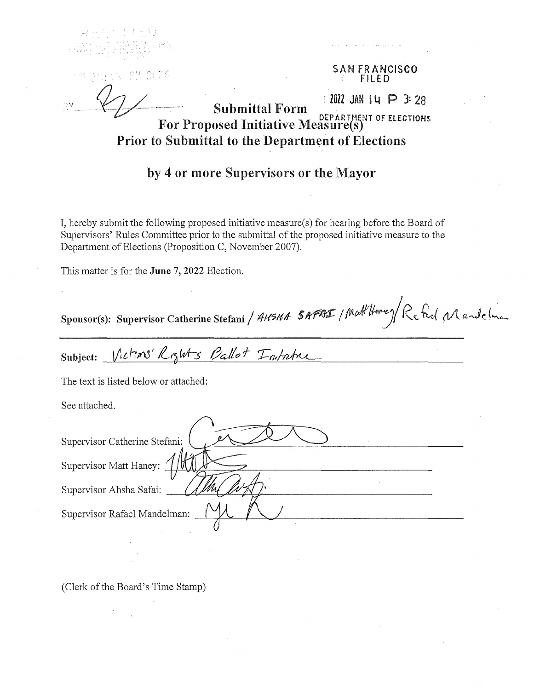**SAN FRANCISCO FILED** 

 $1012$  JAN 14  $\bigcirc$  3: 28

**Submittal Form** For Proposed Initiative Measure(s) **Prior to Submittal to the Department of Elections** 

## by 4 or more Supervisors or the Mayor

I, hereby submit the following proposed initiative measure(s) for hearing before the Board of Supervisors' Rules Committee prior to the submittal of the proposed initiative measure to the Department of Elections (Proposition C, November 2007).

This matter is for the June 7, 2022 Election.

Sponsor(s): Supervisor Catherine Stefani / AHSHA SAPAI / Matt Home) Re feel Mandelman

Subject: Victims' Rights Ballot Intatric

The text is listed below or attached:

See attached.

| Supervisor Catherine Stefani: |  |
|-------------------------------|--|
| Supervisor Matt Haney:        |  |
| Supervisor Ahsha Safai:       |  |
| Supervisor Rafael Mandelman:  |  |
|                               |  |

(Clerk of the Board's Time Stamp)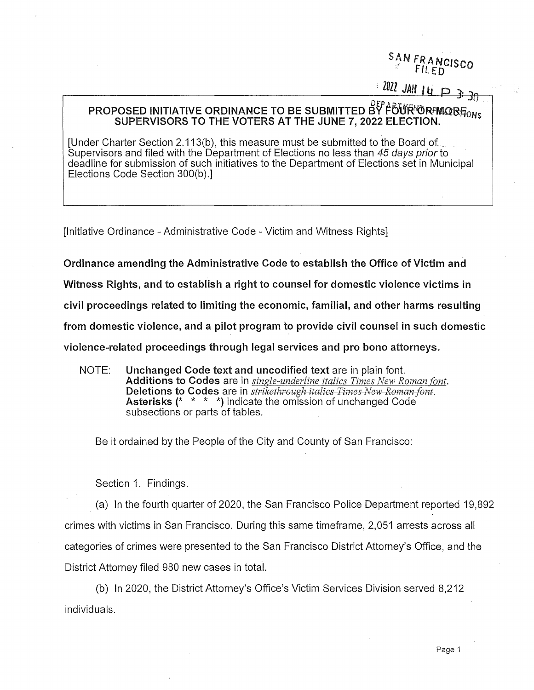# SAN FRANCISCO

'

 $10^{22}$  JAN 14  $\Box$  3: 30

### PROPOSED INITIATIVE ORDINANCE TO BE SUBMITTED BY FOUR ORFMOR $\bar{H}_{\rm ONS}$ SUPERVISORS TO THE VOTERS AT THE JUNE 7, 2022 ELECTION.

[Under Charter Section 2.113(b), this measure must be submitted to the Board of.. Supervisors and filed with the Department of Elections no less than 45 days prior to deadline for submission of such initiatives to the Department of Elections set in Municipal Elections Code Section 300(b).]

[Initiative Ordinance - Administrative Code - Victim and Witness Rights]

Ordinance amending the Administrative Code to establish the Office of Victim and

Witness Rights, and to establish a right to counsel for domestic violence victims in

civil proceedings related to limiting the economic, familial, and other harms resulting

from domestic violence, and a pilot program to provide civil counsel in such domestic

violence-related proceedings through legal services and pro bono attorneys.

NOTE: Unchanged Code text and uncodified text are in plain font. Additions to Codes are in *single-underline italics Times New Roman font.*  Deletions to Codes are in *strikethrough italics Times New Roman font.* Asterisks (\* \* \* \*) indicate the omission of unchanged Code subsections or parts of tables.

Be it ordained by the People of the City and County of San Francisco:

Section 1. Findings.

(a) In the fourth quarter of 2020, the San Francisco Police Department reported 19,892 crimes with victims in San Francisco. During this same timeframe, 2,051 arrests across all categories of crimes were presented to the San Francisco District Attorney's Office, and the District Attorney filed 980 new cases in total.

(b) In 2020, the District Attorney's Office's Victim Services Division served 8,212 individuals.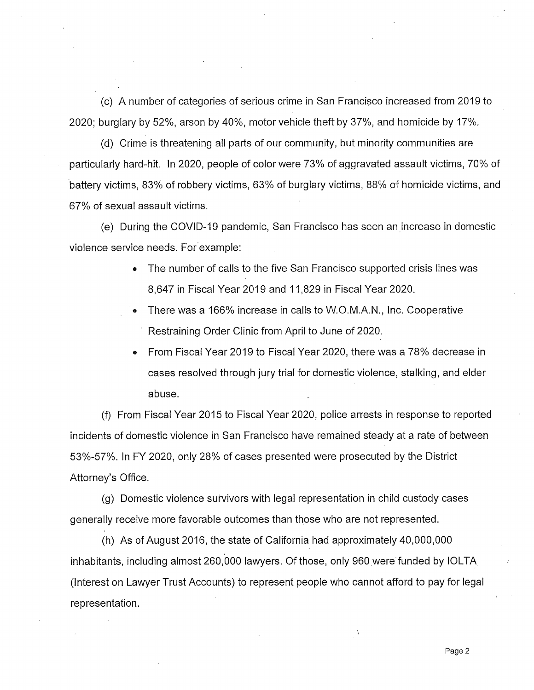(c) A number of categories of serious crime in San Francisco increased from 2019 to 2020; burglary by 52%, arson by 40%, motor vehicle theft by 37%, and homicide by 17%.

(d) Crime is threatening all parts of our community, but minority communities are particularly hard-hit. In 2020, people of color were 73% of aggravated assault victims, 70% of battery victims, 83% of robbery victims, 63% of burglary victims, 88% of homicide victims, and 67% of sexual assault victims.

(e) During the COVID-19 pandemic, San Francisco has seen an increase in domestic violence service needs. For example:

- The number of calls to the five San Francisco supported crisis lines was 8,647 in Fiscal Year 2019 and 11,829 in Fiscal Year 2020.
- There was a 166% increase in calls to W.O.M.A.N., Inc. Cooperative Restraining Order Clinic from April to June of 2020.
- From Fiscal Year 2019 to Fiscal Year 2020, there was a 78% decrease in cases resolved through jury trial for domestic violence, stalking, and elder abuse.

(f) From Fiscal Yeqr 2015 to Fiscal Year 2020, police arrests in response to reported incidents of domestic violence in San Francisco have remained steady at a rate of between 53%-57%. In FY 2020, only 28% of cases presented were prosecuted by the District Attorney's Office.

(g) Domestic violence survivors with legal representation in child custody cases generally receive more favorable outcomes than those who are not represented.

(h) As of August 2016, the state of California had approximately 40,000,000 inhabitants, including almost 260,000 lawyers. Of those, only 960 were funded by IOLTA (Interest on Lawyer Trust Accounts) to represent people who cannot afford to pay for legal representation.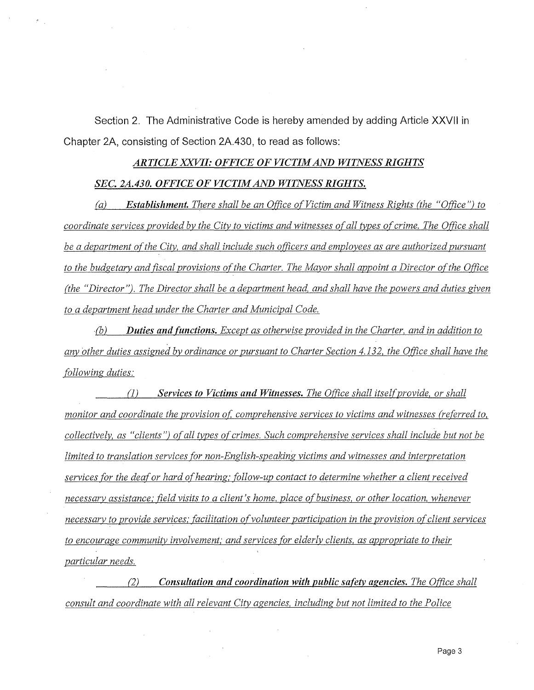**Section 2. The Administrative Code is hereby amended by adding Article XXVll in Chapter 2A, consisting of Section 2A.430, to read as follows:** 

#### *ARTICLE XXVII: OFFICE OF VICTIM AND WITNESS RIGHTS*

#### *SEC. 2A.430. OFFICE OF VICTIM AND WITNESS RIGHTS.*

*(a) Establishment. There shall be an Office of Victim and Witness Rights (the "Office") to coordinate services provided by the City to victims and witnesses of all types of crime. The Office shall be a department of the City, and shall include such officers and employees as are authorized pursuant to the budgetary and fiscal provisions of the Charter. The Mayor shall appoint a Director oft he Office (the "Director"). The Director shall be a department head, and shall have the powers and duties given to a department head under the Charter and Municipal Code.* 

(b) **Duties and functions.** Except as otherwise provided in the Charter, and in addition to *any other duties assigned by ordinance or pursuant to Charter Section 4.132, the Office shall have the following duties:* 

(1) *Services to Victims and Witnesses. The Office shall itselfprovide, or shall monitor and coordinate the provision of: comprehensive services to victims and witnesses (referred to, collectively, as "clients") of all types of crimes. Such comprehensive services shall include but not be limited to translation services for non-English-speaking victims and witnesses and interpretation services for the deaf or hard of hearing; follow-up contact to determine whether a client received necessary assistance,· field visits to a client's home, place of business, or other location, whenever necessary to provide services; facilitation of volunteer participation in the provision of client services to encourage community involvement; and services for elderly clients, as appropriate to their particular needs.* 

*(2) Consultation and coordination with public safety agencies. The Office shall consult and coordinate with all relevant City agencies, including but not limited to the Police*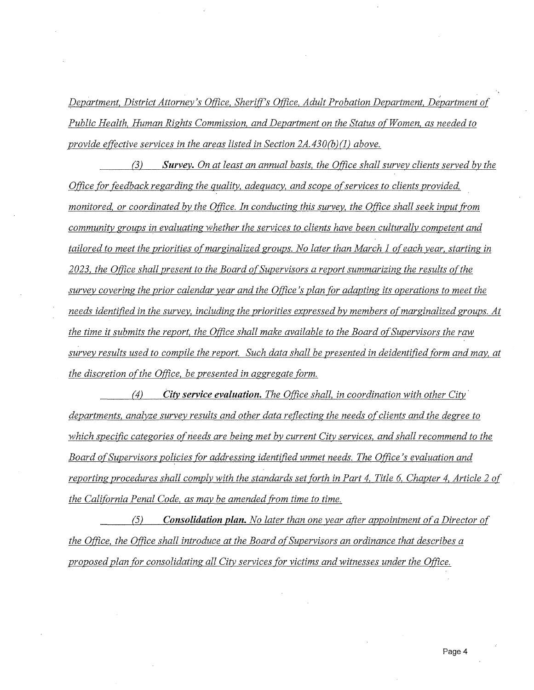*Department, District Attorney's O(fice, Sheriff's Office, Adult Probation Department, Department of Public Health, Human Rights Commission, and Department on the Status of Women, as needed to provide effective services in the areas listed in Section 2A.430(b)(1) above.* 

*(3) Survey. On at least an annual basis, the Office shall survey clients served by the Office for feedback regarding the quality, adequacy, and scope of services to clients provided, monitored, or coordinated by the Office. In conducting this survey, the Office shall seek input tram community groups in evaluating whether the services to clients have been culturally competent and tailored to meet the priorities of marginalized groups. No later than March 1 of each year, starting in 2023, the Office shall present to the Board of Supervisors a report summarizing the results ofthe survey covering the prior calendar year and the Office* 's *plan for adapting its operations to meet the needs identified in the survey, including the priorities expressed by members of marginalized groups. At the time it submits the report, the Office shall make available to the Board of Supervisors the raw survey results used to compile the report. Such data shall be presented in deidentified form and may, at the discretion of the Office, be presented in aggregate form.* 

*(4) City service evaluation. The Office shall, in coordination with other City· departments, analyze survey results and other data reflecting the needs of clients and the degree to which specific categories of needs are being met by current City services, and shall recommend to the Board ofSupervisors policies for addressing identified unmet needs. The Office's evaluation and reporting procedures shall comply with the standards set forth in Part 4, Title 6, Chapter 4, Article 2 of the California Penal Code, as may be amended from time to time.* 

*(52 Consolidation plan. No later than one year after appointment ofa Director of the Office, the Office shall introduce at the Board of Supervisors an ordinance that describes a proposed plan for consolidating all City services for victims and witnesses under the Office.*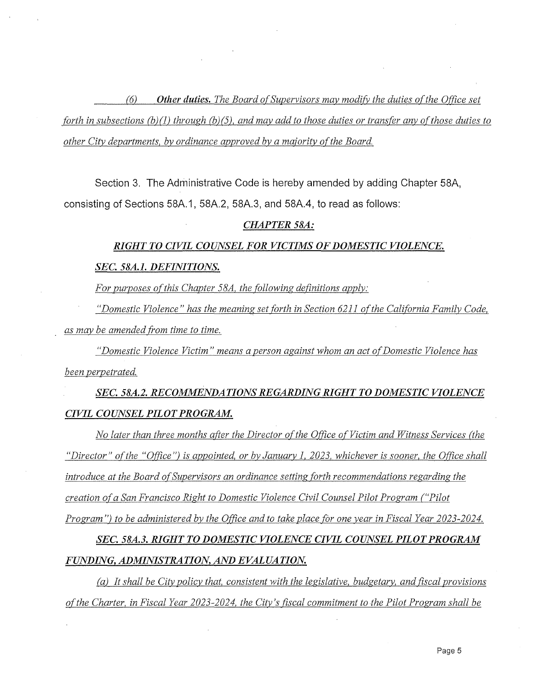(6) *Other duties. The Board of Supervisors may modify the duties of the Office set forth in subsections (b)(1) through (b)(5), and may add to those duties or transfer any of those duties to other City departments, by ordinance approved by a majority ofthe Board.* 

**Section 3. The Administrative Code is hereby amended by adding Chapter 58A, consisting of Sections 58A.1, 58A.2, 58A.3, and 58A.4, to read as follows:** 

#### *CHAPTER SSA:*

#### *RIGHT TO CIVIL COUNSEL FOR VICTIMS OF DOMESTIC VIOLENCE.*

#### *SEC. 58A.1. DEFINITIONS.*

*For purposes of this Chapter 58A, the following definitions apply:* 

*"Domestic Violence" has the meaninz set forth in Section 6211 of the California Family Code, as may be amended from time to time.* 

*"Domestic Violence Victim" means a person against whom an act of Domestic Violence has been perpetrated.* 

*SEC. 58A.2. RECOMMENDATIONS REGARDING RIGHT TO DOMESTIC VIOLENCE CIVIL COUNSEL PILOT PROGRAM.* 

*No later than three months after the Director of the Office of Victim and Witness Services (the "Director" ofthe "Office") is appointed, or by January l, 2023, whichever is sooner, the Office shall introduce at the Board of Supervisors an ordinance setting forth recommendations regarding the creation of a San Francisco Right to Domestic Violence Civil Counsel Pilot Program ("Pilot Program") to be administered by the Office and to take place for one year in Fiscal Year 2023-2024.* 

*SEC. 58A.3. RIGHT TO DOMESTIC VIOLENCE CIVIL COUNSEL PILOT PROGRAM FUNDING, ADMINISTRATION, AND EVALUATION.* 

*(a) It shall be City policy that, consistent with the legislative, budgetary, and fiscal provisions ofthe Charter, in Fiscal Year 2023-2024, the City's fiscal commitment to the Pilot Program shall be*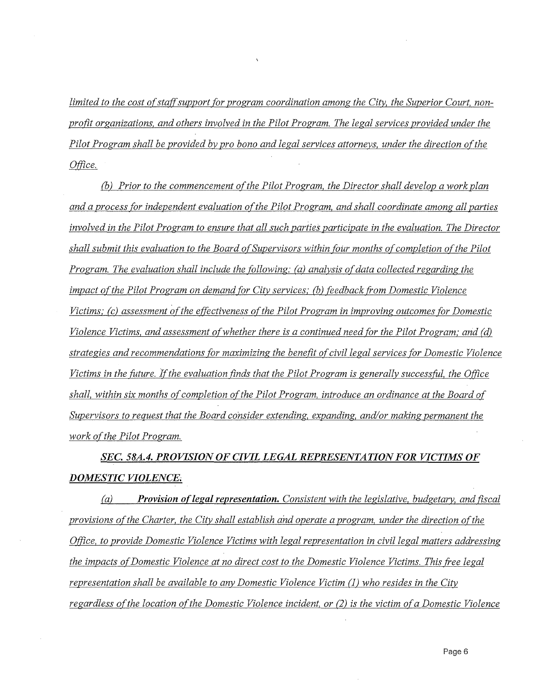limited to the cost of staff support for program coordination among the City, the Superior Court, non*profit organizations, and others involved in the Pilot Program. The legal services provided under the Pilot Program shall be provided by pro bono and legal services attorneys, under the direction of the Office.* 

*(b) Prior to the commencement ofthe Pilot Program, the Director shall develop a work plan and a process for independent evaluation o(the Pilot Program, and shall coordinate among all parties involved in the Pilot Program to ensure that all such parties participate in the evaluation. The Director shall submit this evaluation to the Board of Supervisors within four months of completion of the Pilot Program. The evaluation shall include the following: (a) analysis of data collected regarding the impact of the Pilot Program on demand for City services; (b) feedback from Domestic Violence Victims; (c) assessment of the effectiveness of the Pilot Program in improving outcomes for Domestic Violence Victims, and assessment of whether there is a continued need for the Pilot Program; and (d) strategies and recommendations for maximizing the benefit of civil legal services for Domestic Violence Victims in the future. If the evaluation finds that the Pilot Program is generally successful, the Office*  shall, within six months of completion of the Pilot Program, introduce an ordinance at the Board of *Supervisors to request that the Board consider extending, expanding, and/or making permanent the work ofthe Pilot Program.* 

*SEC. 58A.4. PROVISION OF CIVIL LEGAL REPRESENTATION FOR VICTIMS OF DOMESTIC VIOLENCE* 

*(a) Provision o{legal representation. Consistent with the legislative, budgetary, and fiscal provisions o(the Charter, the City shall establish and operate a program, under the direction ofthe Office, to provide Domestic Violence Victims with legal representation in civil legal matters addressing the impacts of Domestic Violence at no direct cost to the Domestic Violence Victims. This free legal representation shall be available to any Domestic Violence Victim (1) who resides in the City regardless of the location of the Domestic Violence incident, or (2) is the victim of a Domestic Violence*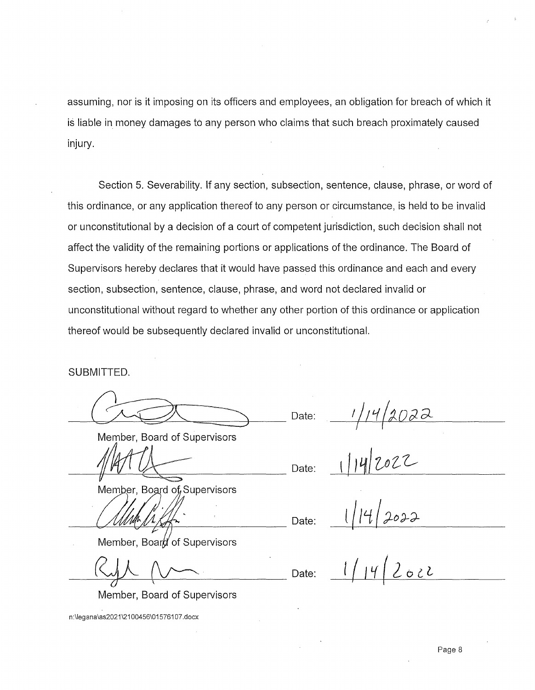assuming, nor is it imposing on its officers and employees, an obligation for breach of which it is liable in money damages to any person who claims that such breach proximately caused injury.

Section 5. Severability. If any section, subsection, sentence, clause, phrase, or word of this ordinance, or any application thereof to any person or circumstance, is held to be invalid or unconstitutional by a decision of a court of competent jurisdiction, such decision shall not affect the validity of the remaining portions or applications of the ordinance. The Board of Supervisors hereby declares that it would have passed this ordinance and each and every section, subsection, sentence, clause, phrase, and word not declared invalid or unconstitutional without regard to whether any other portion of this ordinance or application thereof would be subsequently declared invalid or unconstitutional.

SUBMITTED.

Date:  $\frac{1}{14}$ <br>Member, Board of Supervisors<br> $\sqrt{4\pi U}$  Date:  $\frac{1}{14}$ 2022

 $M/kAT$ 

Member, Board of Supervisors

Member, Board of Supervisors

 $-\frac{1}{\sqrt{2}}$   $\sqrt{2}$   $\sqrt{2}$  Date:

Date:

 $14/2022$ 

Member, Board of Supervisors

n:\legana\as2021\2100456\01576107.docx

 $14/2022$